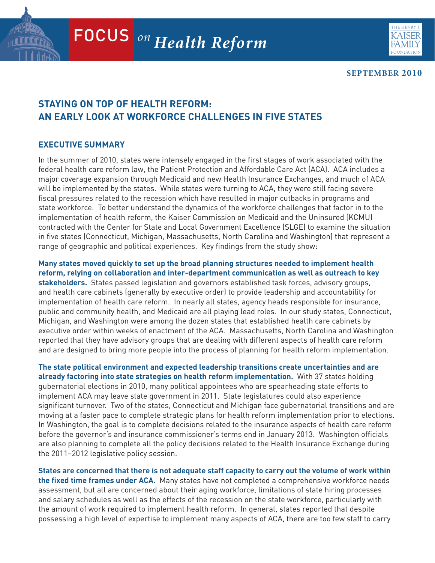

**SEPTEMBER 2010**

# **STAYING ON TOP OF HEALTH REFORM: AN EARLY LOOK AT WORKFORCE CHALLENGES IN FIVE STATES**

## **EXECUTIVE SUMMARY**

In the summer of 2010, states were intensely engaged in the first stages of work associated with the federal health care reform law, the Patient Protection and Affordable Care Act (ACA). ACA includes a major coverage expansion through Medicaid and new Health Insurance Exchanges, and much of ACA will be implemented by the states. While states were turning to ACA, they were still facing severe fiscal pressures related to the recession which have resulted in major cutbacks in programs and state workforce. To better understand the dynamics of the workforce challenges that factor in to the implementation of health reform, the Kaiser Commission on Medicaid and the Uninsured (KCMU) contracted with the Center for State and Local Government Excellence (SLGE) to examine the situation in five states (Connecticut, Michigan, Massachusetts, North Carolina and Washington) that represent a range of geographic and political experiences. Key findings from the study show:

**Many states moved quickly to set up the broad planning structures needed to implement health reform, relying on collaboration and inter-department communication as well as outreach to key stakeholders.** States passed legislation and governors established task forces, advisory groups, and health care cabinets (generally by executive order) to provide leadership and accountability for implementation of health care reform. In nearly all states, agency heads responsible for insurance, public and community health, and Medicaid are all playing lead roles. In our study states, Connecticut, Michigan, and Washington were among the dozen states that established health care cabinets by executive order within weeks of enactment of the ACA. Massachusetts, North Carolina and Washington reported that they have advisory groups that are dealing with different aspects of health care reform and are designed to bring more people into the process of planning for health reform implementation.

**The state political environment and expected leadership transitions create uncertainties and are already factoring into state strategies on health reform implementation.** With 37 states holding gubernatorial elections in 2010, many political appointees who are spearheading state efforts to implement ACA may leave state government in 2011. State legislatures could also experience significant turnover. Two of the states, Connecticut and Michigan face gubernatorial transitions and are moving at a faster pace to complete strategic plans for health reform implementation prior to elections. In Washington, the goal is to complete decisions related to the insurance aspects of health care reform before the governor's and insurance commissioner's terms end in January 2013. Washington officials are also planning to complete all the policy decisions related to the Health Insurance Exchange during the 2011–2012 legislative policy session.

possessing a high level of expertise to implement many aspects of ACA, there are too few staff to carry Headquarters: 2400 Sand Hill Road Menlo Park, CA 94025 650.854.9400 Fax: 650.854.4800 **States are concerned that there is not adequate staff capacity to carry out the volume of work within the fixed time frames under ACA.** Many states have not completed a comprehensive workforce needs assessment, but all are concerned about their aging workforce, limitations of state hiring processes and salary schedules as well as the effects of the recession on the state workforce, particularly with the amount of work required to implement health reform. In general, states reported that despite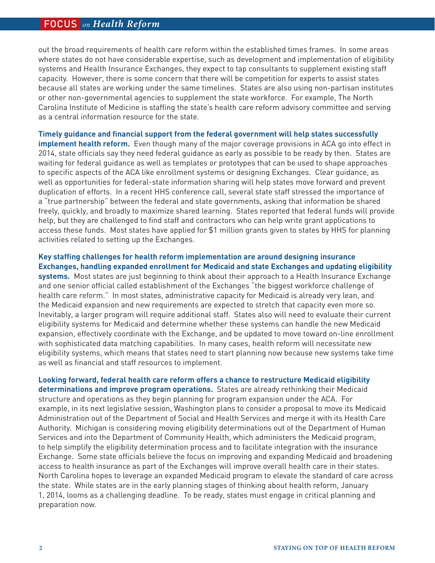## FOCUS *on Health Reform* FOCUS *on Health Reform*

out the broad requirements of health care reform within the established times frames. In some areas where states do not have considerable expertise, such as development and implementation of eligibility systems and Health Insurance Exchanges, they expect to tap consultants to supplement existing staff capacity. However, there is some concern that there will be competition for experts to assist states because all states are working under the same timelines. States are also using non-partisan institutes or other non-governmental agencies to supplement the state workforce. For example, The North Carolina Institute of Medicine is staffing the state's health care reform advisory committee and serving as a central information resource for the state.

**Timely guidance and financial support from the federal government will help states successfully implement health reform.** Even though many of the major coverage provisions in ACA go into effect in 2014, state officials say they need federal guidance as early as possible to be ready by then. States are waiting for federal guidance as well as templates or prototypes that can be used to shape approaches to specific aspects of the ACA like enrollment systems or designing Exchanges. Clear guidance, as well as opportunities for federal-state information sharing will help states move forward and prevent duplication of efforts. In a recent HHS conference call, several state staff stressed the importance of a "true partnership" between the federal and state governments, asking that information be shared freely, quickly, and broadly to maximize shared learning. States reported that federal funds will provide help, but they are challenged to find staff and contractors who can help write grant applications to access these funds. Most states have applied for \$1 million grants given to states by HHS for planning activities related to setting up the Exchanges.

#### **Key staffing challenges for health reform implementation are around designing insurance Exchanges, handling expanded enrollment for Medicaid and state Exchanges and updating eligibility**

**systems.** Most states are just beginning to think about their approach to a Health Insurance Exchange and one senior official called establishment of the Exchanges "the biggest workforce challenge of health care reform." In most states, administrative capacity for Medicaid is already very lean, and the Medicaid expansion and new requirements are expected to stretch that capacity even more so. Inevitably, a larger program will require additional staff. States also will need to evaluate their current eligibility systems for Medicaid and determine whether these systems can handle the new Medicaid expansion, effectively coordinate with the Exchange, and be updated to move toward on-line enrollment with sophisticated data matching capabilities. In many cases, health reform will necessitate new eligibility systems, which means that states need to start planning now because new systems take time as well as financial and staff resources to implement.

**Looking forward, federal health care reform offers a chance to restructure Medicaid eligibility determinations and improve program operations.** States are already rethinking their Medicaid structure and operations as they begin planning for program expansion under the ACA. For example, in its next legislative session, Washington plans to consider a proposal to move its Medicaid Administration out of the Department of Social and Health Services and merge it with its Health Care Authority. Michigan is considering moving eligibility determinations out of the Department of Human Services and into the Department of Community Health, which administers the Medicaid program, to help simplify the eligibility determination process and to facilitate integration with the insurance Exchange. Some state officials believe the focus on improving and expanding Medicaid and broadening access to health insurance as part of the Exchanges will improve overall health care in their states. North Carolina hopes to leverage an expanded Medicaid program to elevate the standard of care across the state. While states are in the early planning stages of thinking about health reform, January 1, 2014, looms as a challenging deadline. To be ready, states must engage in critical planning and preparation now.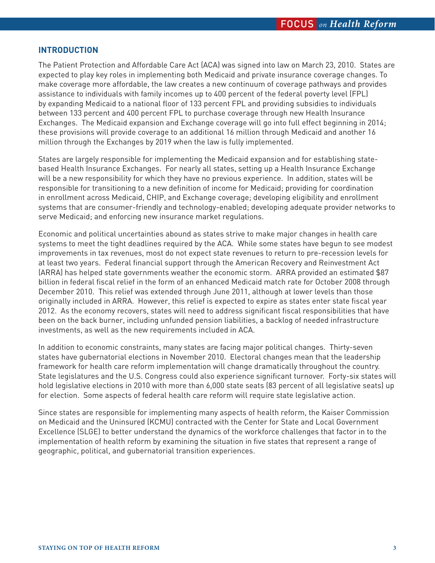## **INTRODUCTION**

The Patient Protection and Affordable Care Act (ACA) was signed into law on March 23, 2010. States are expected to play key roles in implementing both Medicaid and private insurance coverage changes. To make coverage more affordable, the law creates a new continuum of coverage pathways and provides assistance to individuals with family incomes up to 400 percent of the federal poverty level (FPL) by expanding Medicaid to a national floor of 133 percent FPL and providing subsidies to individuals between 133 percent and 400 percent FPL to purchase coverage through new Health Insurance Exchanges. The Medicaid expansion and Exchange coverage will go into full effect beginning in 2014; these provisions will provide coverage to an additional 16 million through Medicaid and another 16 million through the Exchanges by 2019 when the law is fully implemented.

States are largely responsible for implementing the Medicaid expansion and for establishing statebased Health Insurance Exchanges. For nearly all states, setting up a Health Insurance Exchange will be a new responsibility for which they have no previous experience. In addition, states will be responsible for transitioning to a new definition of income for Medicaid; providing for coordination in enrollment across Medicaid, CHIP, and Exchange coverage; developing eligibility and enrollment systems that are consumer-friendly and technology-enabled; developing adequate provider networks to serve Medicaid; and enforcing new insurance market regulations.

Economic and political uncertainties abound as states strive to make major changes in health care systems to meet the tight deadlines required by the ACA. While some states have begun to see modest improvements in tax revenues, most do not expect state revenues to return to pre-recession levels for at least two years. Federal financial support through the American Recovery and Reinvestment Act (ARRA) has helped state governments weather the economic storm. ARRA provided an estimated \$87 billion in federal fiscal relief in the form of an enhanced Medicaid match rate for October 2008 through December 2010. This relief was extended through June 2011, although at lower levels than those originally included in ARRA. However, this relief is expected to expire as states enter state fiscal year 2012. As the economy recovers, states will need to address significant fiscal responsibilities that have been on the back burner, including unfunded pension liabilities, a backlog of needed infrastructure investments, as well as the new requirements included in ACA.

In addition to economic constraints, many states are facing major political changes. Thirty-seven states have gubernatorial elections in November 2010. Electoral changes mean that the leadership framework for health care reform implementation will change dramatically throughout the country. State legislatures and the U.S. Congress could also experience significant turnover. Forty-six states will hold legislative elections in 2010 with more than 6,000 state seats (83 percent of all legislative seats) up for election. Some aspects of federal health care reform will require state legislative action.

Since states are responsible for implementing many aspects of health reform, the Kaiser Commission on Medicaid and the Uninsured (KCMU) contracted with the Center for State and Local Government Excellence (SLGE) to better understand the dynamics of the workforce challenges that factor in to the implementation of health reform by examining the situation in five states that represent a range of geographic, political, and gubernatorial transition experiences.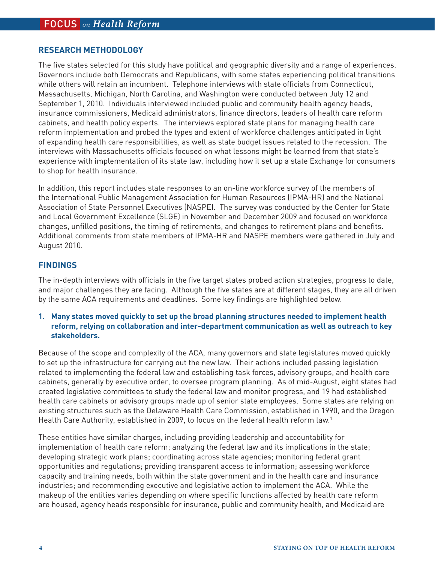## **RESEARCH METHODOLOGY**

The five states selected for this study have political and geographic diversity and a range of experiences. Governors include both Democrats and Republicans, with some states experiencing political transitions while others will retain an incumbent. Telephone interviews with state officials from Connecticut, Massachusetts, Michigan, North Carolina, and Washington were conducted between July 12 and September 1, 2010. Individuals interviewed included public and community health agency heads, insurance commissioners, Medicaid administrators, finance directors, leaders of health care reform cabinets, and health policy experts. The interviews explored state plans for managing health care reform implementation and probed the types and extent of workforce challenges anticipated in light of expanding health care responsibilities, as well as state budget issues related to the recession. The interviews with Massachusetts officials focused on what lessons might be learned from that state's experience with implementation of its state law, including how it set up a state Exchange for consumers to shop for health insurance.

In addition, this report includes state responses to an on-line workforce survey of the members of the International Public Management Association for Human Resources (IPMA-HR) and the National Association of State Personnel Executives (NASPE). The survey was conducted by the Center for State and Local Government Excellence (SLGE) in November and December 2009 and focused on workforce changes, unfilled positions, the timing of retirements, and changes to retirement plans and benefits. Additional comments from state members of IPMA-HR and NASPE members were gathered in July and August 2010.

### **FINDINGS**

The in-depth interviews with officials in the five target states probed action strategies, progress to date, and major challenges they are facing. Although the five states are at different stages, they are all driven by the same ACA requirements and deadlines. Some key findings are highlighted below.

### **1. Many states moved quickly to set up the broad planning structures needed to implement health reform, relying on collaboration and inter-department communication as well as outreach to key stakeholders.**

Because of the scope and complexity of the ACA, many governors and state legislatures moved quickly to set up the infrastructure for carrying out the new law. Their actions included passing legislation related to implementing the federal law and establishing task forces, advisory groups, and health care cabinets, generally by executive order, to oversee program planning. As of mid-August, eight states had created legislative committees to study the federal law and monitor progress, and 19 had established health care cabinets or advisory groups made up of senior state employees. Some states are relying on existing structures such as the Delaware Health Care Commission, established in 1990, and the Oregon Health Care Authority, established in 2009, to focus on the federal health reform law.1

These entities have similar charges, including providing leadership and accountability for implementation of health care reform; analyzing the federal law and its implications in the state; developing strategic work plans; coordinating across state agencies; monitoring federal grant opportunities and regulations; providing transparent access to information; assessing workforce capacity and training needs, both within the state government and in the health care and insurance industries; and recommending executive and legislative action to implement the ACA. While the makeup of the entities varies depending on where specific functions affected by health care reform are housed, agency heads responsible for insurance, public and community health, and Medicaid are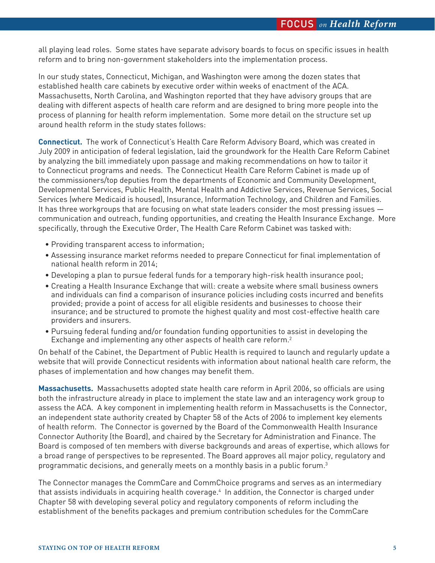all playing lead roles. Some states have separate advisory boards to focus on specific issues in health reform and to bring non-government stakeholders into the implementation process.

In our study states, Connecticut, Michigan, and Washington were among the dozen states that established health care cabinets by executive order within weeks of enactment of the ACA. Massachusetts, North Carolina, and Washington reported that they have advisory groups that are dealing with different aspects of health care reform and are designed to bring more people into the process of planning for health reform implementation. Some more detail on the structure set up around health reform in the study states follows:

**Connecticut.** The work of Connecticut's Health Care Reform Advisory Board, which was created in July 2009 in anticipation of federal legislation, laid the groundwork for the Health Care Reform Cabinet by analyzing the bill immediately upon passage and making recommendations on how to tailor it to Connecticut programs and needs. The Connecticut Health Care Reform Cabinet is made up of the commissioners/top deputies from the departments of Economic and Community Development, Developmental Services, Public Health, Mental Health and Addictive Services, Revenue Services, Social Services (where Medicaid is housed), Insurance, Information Technology, and Children and Families. It has three workgroups that are focusing on what state leaders consider the most pressing issues communication and outreach, funding opportunities, and creating the Health Insurance Exchange. More specifically, through the Executive Order, The Health Care Reform Cabinet was tasked with:

- Providing transparent access to information;
- Assessing insurance market reforms needed to prepare Connecticut for final implementation of national health reform in 2014;
- Developing a plan to pursue federal funds for a temporary high-risk health insurance pool;
- Creating a Health Insurance Exchange that will: create a website where small business owners and individuals can find a comparison of insurance policies including costs incurred and benefits provided; provide a point of access for all eligible residents and businesses to choose their insurance; and be structured to promote the highest quality and most cost-effective health care providers and insurers.
- Pursuing federal funding and/or foundation funding opportunities to assist in developing the Exchange and implementing any other aspects of health care reform.2

On behalf of the Cabinet, the Department of Public Health is required to launch and regularly update a website that will provide Connecticut residents with information about national health care reform, the phases of implementation and how changes may benefit them.

**Massachusetts.** Massachusetts adopted state health care reform in April 2006, so officials are using both the infrastructure already in place to implement the state law and an interagency work group to assess the ACA. A key component in implementing health reform in Massachusetts is the Connector, an independent state authority created by Chapter 58 of the Acts of 2006 to implement key elements of health reform. The Connector is governed by the Board of the Commonwealth Health Insurance Connector Authority (the Board), and chaired by the Secretary for Administration and Finance. The Board is composed of ten members with diverse backgrounds and areas of expertise, which allows for a broad range of perspectives to be represented. The Board approves all major policy, regulatory and programmatic decisions, and generally meets on a monthly basis in a public forum. $^3$ 

The Connector manages the CommCare and CommChoice programs and serves as an intermediary that assists individuals in acquiring health coverage.4 In addition, the Connector is charged under Chapter 58 with developing several policy and regulatory components of reform including the establishment of the benefits packages and premium contribution schedules for the CommCare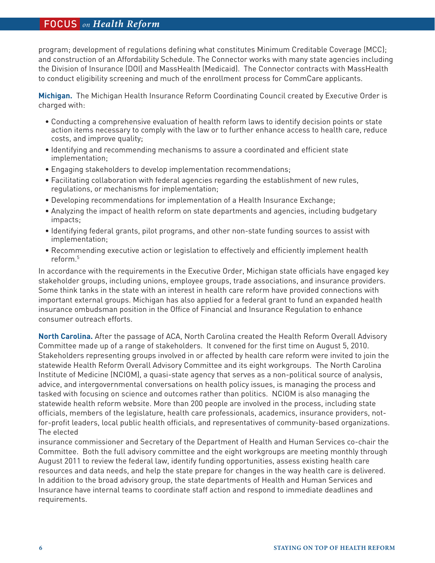## FOCUS *on Health Reform* FOCUS *on Health Reform*

program; development of regulations defining what constitutes Minimum Creditable Coverage (MCC); and construction of an Affordability Schedule. The Connector works with many state agencies including the Division of Insurance (DOI) and MassHealth (Medicaid). The Connector contracts with MassHealth to conduct eligibility screening and much of the enrollment process for CommCare applicants.

**Michigan.** The Michigan Health Insurance Reform Coordinating Council created by Executive Order is charged with:

- Conducting a comprehensive evaluation of health reform laws to identify decision points or state action items necessary to comply with the law or to further enhance access to health care, reduce costs, and improve quality;
- Identifying and recommending mechanisms to assure a coordinated and efficient state implementation;
- Engaging stakeholders to develop implementation recommendations;
- Facilitating collaboration with federal agencies regarding the establishment of new rules, regulations, or mechanisms for implementation;
- Developing recommendations for implementation of a Health Insurance Exchange;
- Analyzing the impact of health reform on state departments and agencies, including budgetary impacts;
- Identifying federal grants, pilot programs, and other non-state funding sources to assist with implementation;
- Recommending executive action or legislation to effectively and efficiently implement health reform.5

In accordance with the requirements in the Executive Order, Michigan state officials have engaged key stakeholder groups, including unions, employee groups, trade associations, and insurance providers. Some think tanks in the state with an interest in health care reform have provided connections with important external groups. Michigan has also applied for a federal grant to fund an expanded health insurance ombudsman position in the Office of Financial and Insurance Regulation to enhance consumer outreach efforts.

**North Carolina.** After the passage of ACA, North Carolina created the Health Reform Overall Advisory Committee made up of a range of stakeholders. It convened for the first time on August 5, 2010. Stakeholders representing groups involved in or affected by health care reform were invited to join the statewide Health Reform Overall Advisory Committee and its eight workgroups. The North Carolina Institute of Medicine (NCIOM), a quasi-state agency that serves as a non-political source of analysis, advice, and intergovernmental conversations on health policy issues, is managing the process and tasked with focusing on science and outcomes rather than politics. NCIOM is also managing the statewide health reform website. More than 200 people are involved in the process, including state officials, members of the legislature, health care professionals, academics, insurance providers, notfor-profit leaders, local public health officials, and representatives of community-based organizations. The elected

insurance commissioner and Secretary of the Department of Health and Human Services co-chair the Committee. Both the full advisory committee and the eight workgroups are meeting monthly through August 2011 to review the federal law, identify funding opportunities, assess existing health care resources and data needs, and help the state prepare for changes in the way health care is delivered. In addition to the broad advisory group, the state departments of Health and Human Services and Insurance have internal teams to coordinate staff action and respond to immediate deadlines and requirements.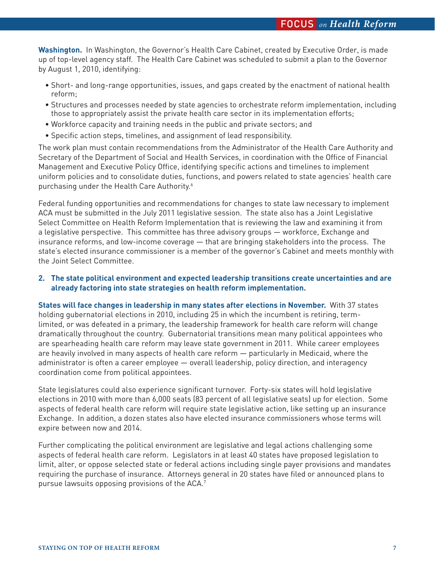**Washington.** In Washington, the Governor's Health Care Cabinet, created by Executive Order, is made up of top-level agency staff. The Health Care Cabinet was scheduled to submit a plan to the Governor by August 1, 2010, identifying:

- Short- and long-range opportunities, issues, and gaps created by the enactment of national health reform;
- Structures and processes needed by state agencies to orchestrate reform implementation, including those to appropriately assist the private health care sector in its implementation efforts;
- Workforce capacity and training needs in the public and private sectors; and
- Specific action steps, timelines, and assignment of lead responsibility.

The work plan must contain recommendations from the Administrator of the Health Care Authority and Secretary of the Department of Social and Health Services, in coordination with the Office of Financial Management and Executive Policy Office, identifying specific actions and timelines to implement uniform policies and to consolidate duties, functions, and powers related to state agencies' health care purchasing under the Health Care Authority.<sup>6</sup>

Federal funding opportunities and recommendations for changes to state law necessary to implement ACA must be submitted in the July 2011 legislative session. The state also has a Joint Legislative Select Committee on Health Reform Implementation that is reviewing the law and examining it from a legislative perspective. This committee has three advisory groups — workforce, Exchange and insurance reforms, and low-income coverage — that are bringing stakeholders into the process. The state's elected insurance commissioner is a member of the governor's Cabinet and meets monthly with the Joint Select Committee.

### **2. The state political environment and expected leadership transitions create uncertainties and are already factoring into state strategies on health reform implementation.**

**States will face changes in leadership in many states after elections in November.** With 37 states holding gubernatorial elections in 2010, including 25 in which the incumbent is retiring, termlimited, or was defeated in a primary, the leadership framework for health care reform will change dramatically throughout the country. Gubernatorial transitions mean many political appointees who are spearheading health care reform may leave state government in 2011. While career employees are heavily involved in many aspects of health care reform — particularly in Medicaid, where the administrator is often a career employee — overall leadership, policy direction, and interagency coordination come from political appointees.

State legislatures could also experience significant turnover. Forty-six states will hold legislative elections in 2010 with more than 6,000 seats (83 percent of all legislative seats) up for election. Some aspects of federal health care reform will require state legislative action, like setting up an insurance Exchange. In addition, a dozen states also have elected insurance commissioners whose terms will expire between now and 2014.

Further complicating the political environment are legislative and legal actions challenging some aspects of federal health care reform. Legislators in at least 40 states have proposed legislation to limit, alter, or oppose selected state or federal actions including single payer provisions and mandates requiring the purchase of insurance. Attorneys general in 20 states have filed or announced plans to pursue lawsuits opposing provisions of the ACA.7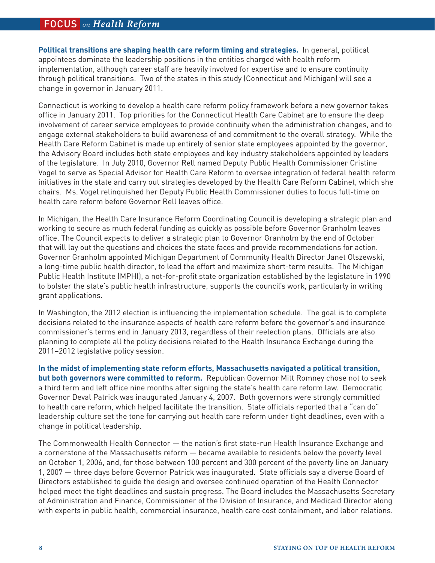## FOCUS *on Health Reform* FOCUS *on Health Reform*

**Political transitions are shaping health care reform timing and strategies.** In general, political appointees dominate the leadership positions in the entities charged with health reform implementation, although career staff are heavily involved for expertise and to ensure continuity through political transitions. Two of the states in this study (Connecticut and Michigan) will see a change in governor in January 2011.

Connecticut is working to develop a health care reform policy framework before a new governor takes office in January 2011. Top priorities for the Connecticut Health Care Cabinet are to ensure the deep involvement of career service employees to provide continuity when the administration changes, and to engage external stakeholders to build awareness of and commitment to the overall strategy. While the Health Care Reform Cabinet is made up entirely of senior state employees appointed by the governor, the Advisory Board includes both state employees and key industry stakeholders appointed by leaders of the legislature. In July 2010, Governor Rell named Deputy Public Health Commissioner Cristine Vogel to serve as Special Advisor for Health Care Reform to oversee integration of federal health reform initiatives in the state and carry out strategies developed by the Health Care Reform Cabinet, which she chairs. Ms. Vogel relinquished her Deputy Public Health Commissioner duties to focus full-time on health care reform before Governor Rell leaves office.

In Michigan, the Health Care Insurance Reform Coordinating Council is developing a strategic plan and working to secure as much federal funding as quickly as possible before Governor Granholm leaves office. The Council expects to deliver a strategic plan to Governor Granholm by the end of October that will lay out the questions and choices the state faces and provide recommendations for action. Governor Granholm appointed Michigan Department of Community Health Director Janet Olszewski, a long-time public health director, to lead the effort and maximize short-term results. The Michigan Public Health Institute (MPHI), a not-for-profit state organization established by the legislature in 1990 to bolster the state's public health infrastructure, supports the council's work, particularly in writing grant applications.

In Washington, the 2012 election is influencing the implementation schedule. The goal is to complete decisions related to the insurance aspects of health care reform before the governor's and insurance commissioner's terms end in January 2013, regardless of their reelection plans. Officials are also planning to complete all the policy decisions related to the Health Insurance Exchange during the 2011–2012 legislative policy session.

**In the midst of implementing state reform efforts, Massachusetts navigated a political transition, but both governors were committed to reform.** Republican Governor Mitt Romney chose not to seek a third term and left office nine months after signing the state's health care reform law. Democratic Governor Deval Patrick was inaugurated January 4, 2007. Both governors were strongly committed to health care reform, which helped facilitate the transition. State officials reported that a "can do" leadership culture set the tone for carrying out health care reform under tight deadlines, even with a change in political leadership.

The Commonwealth Health Connector — the nation's first state-run Health Insurance Exchange and a cornerstone of the Massachusetts reform — became available to residents below the poverty level on October 1, 2006, and, for those between 100 percent and 300 percent of the poverty line on January 1, 2007 — three days before Governor Patrick was inaugurated. State officials say a diverse Board of Directors established to guide the design and oversee continued operation of the Health Connector helped meet the tight deadlines and sustain progress. The Board includes the Massachusetts Secretary of Administration and Finance, Commissioner of the Division of Insurance, and Medicaid Director along with experts in public health, commercial insurance, health care cost containment, and labor relations.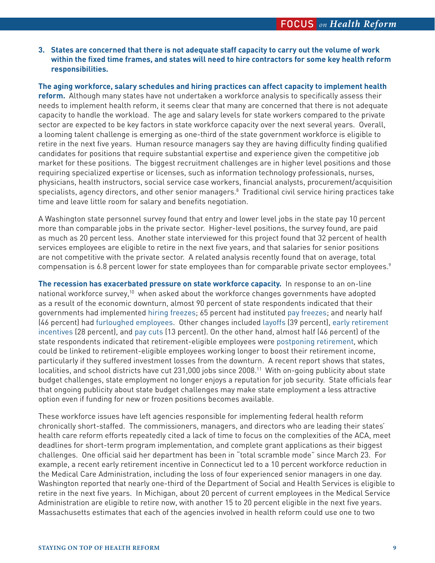**3. States are concerned that there is not adequate staff capacity to carry out the volume of work within the fixed time frames, and states will need to hire contractors for some key health reform responsibilities.**

**The aging workforce, salary schedules and hiring practices can affect capacity to implement health reform.** Although many states have not undertaken a workforce analysis to specifically assess their needs to implement health reform, it seems clear that many are concerned that there is not adequate capacity to handle the workload. The age and salary levels for state workers compared to the private sector are expected to be key factors in state workforce capacity over the next several years. Overall, a looming talent challenge is emerging as one-third of the state government workforce is eligible to retire in the next five years. Human resource managers say they are having difficulty finding qualified candidates for positions that require substantial expertise and experience given the competitive job market for these positions. The biggest recruitment challenges are in higher level positions and those requiring specialized expertise or licenses, such as information technology professionals, nurses, physicians, health instructors, social service case workers, financial analysts, procurement/acquisition  $s$ pecialists, agency directors, and other senior managers. $8$  Traditional civil service hiring practices take time and leave little room for salary and benefits negotiation.

A Washington state personnel survey found that entry and lower level jobs in the state pay 10 percent more than comparable jobs in the private sector. Higher-level positions, the survey found, are paid as much as 20 percent less. Another state interviewed for this project found that 32 percent of health services employees are eligible to retire in the next five years, and that salaries for senior positions are not competitive with the private sector. A related analysis recently found that on average, total compensation is 6.8 percent lower for state employees than for comparable private sector employees.<sup>9</sup>

**The recession has exacerbated pressure on state workforce capacity.** In response to an on-line national workforce survey,<sup>10</sup> when asked about the workforce changes governments have adopted as a result of the economic downturn, almost 90 percent of state respondents indicated that their governments had implemented hiring freezes; 65 percent had instituted pay freezes; and nearly half (46 percent) had furloughed employees. Other changes included layoffs (39 percent), early retirement incentives (28 percent), and pay cuts (13 percent). On the other hand, almost half (46 percent) of the state respondents indicated that retirement-eligible employees were postponing retirement, which could be linked to retirement-eligible employees working longer to boost their retirement income, particularly if they suffered investment losses from the downturn. A recent report shows that states, localities, and school districts have cut 231,000 jobs since 2008.11 With on-going publicity about state budget challenges, state employment no longer enjoys a reputation for job security. State officials fear that ongoing publicity about state budget challenges may make state employment a less attractive option even if funding for new or frozen positions becomes available.

These workforce issues have left agencies responsible for implementing federal health reform chronically short-staffed. The commissioners, managers, and directors who are leading their states' health care reform efforts repeatedly cited a lack of time to focus on the complexities of the ACA, meet deadlines for short-term program implementation, and complete grant applications as their biggest challenges. One official said her department has been in "total scramble mode" since March 23. For example, a recent early retirement incentive in Connecticut led to a 10 percent workforce reduction in the Medical Care Administration, including the loss of four experienced senior managers in one day. Washington reported that nearly one-third of the Department of Social and Health Services is eligible to retire in the next five years. In Michigan, about 20 percent of current employees in the Medical Service Administration are eligible to retire now, with another 15 to 20 percent eligible in the next five years. Massachusetts estimates that each of the agencies involved in health reform could use one to two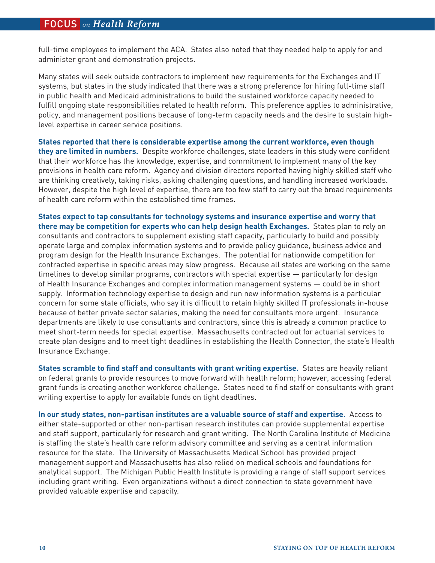full-time employees to implement the ACA. States also noted that they needed help to apply for and administer grant and demonstration projects.

Many states will seek outside contractors to implement new requirements for the Exchanges and IT systems, but states in the study indicated that there was a strong preference for hiring full-time staff in public health and Medicaid administrations to build the sustained workforce capacity needed to fulfill ongoing state responsibilities related to health reform. This preference applies to administrative, policy, and management positions because of long-term capacity needs and the desire to sustain highlevel expertise in career service positions.

**States reported that there is considerable expertise among the current workforce, even though they are limited in numbers.** Despite workforce challenges, state leaders in this study were confident that their workforce has the knowledge, expertise, and commitment to implement many of the key provisions in health care reform. Agency and division directors reported having highly skilled staff who are thinking creatively, taking risks, asking challenging questions, and handling increased workloads. However, despite the high level of expertise, there are too few staff to carry out the broad requirements of health care reform within the established time frames.

**States expect to tap consultants for technology systems and insurance expertise and worry that there may be competition for experts who can help design health Exchanges.** States plan to rely on consultants and contractors to supplement existing staff capacity, particularly to build and possibly operate large and complex information systems and to provide policy guidance, business advice and program design for the Health Insurance Exchanges. The potential for nationwide competition for contracted expertise in specific areas may slow progress. Because all states are working on the same timelines to develop similar programs, contractors with special expertise — particularly for design of Health Insurance Exchanges and complex information management systems — could be in short supply. Information technology expertise to design and run new information systems is a particular concern for some state officials, who say it is difficult to retain highly skilled IT professionals in-house because of better private sector salaries, making the need for consultants more urgent. Insurance departments are likely to use consultants and contractors, since this is already a common practice to meet short-term needs for special expertise. Massachusetts contracted out for actuarial services to create plan designs and to meet tight deadlines in establishing the Health Connector, the state's Health Insurance Exchange.

**States scramble to find staff and consultants with grant writing expertise.** States are heavily reliant on federal grants to provide resources to move forward with health reform; however, accessing federal grant funds is creating another workforce challenge. States need to find staff or consultants with grant writing expertise to apply for available funds on tight deadlines.

**In our study states, non-partisan institutes are a valuable source of staff and expertise.** Access to either state-supported or other non-partisan research institutes can provide supplemental expertise and staff support, particularly for research and grant writing. The North Carolina Institute of Medicine is staffing the state's health care reform advisory committee and serving as a central information resource for the state. The University of Massachusetts Medical School has provided project management support and Massachusetts has also relied on medical schools and foundations for analytical support. The Michigan Public Health Institute is providing a range of staff support services including grant writing. Even organizations without a direct connection to state government have provided valuable expertise and capacity.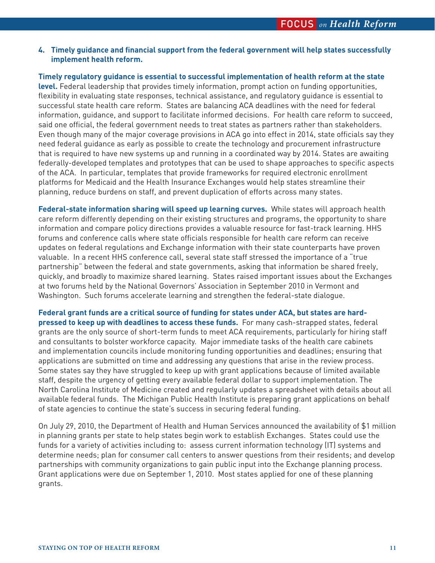### **4. Timely guidance and financial support from the federal government will help states successfully implement health reform.**

**Timely regulatory guidance is essential to successful implementation of health reform at the state level.** Federal leadership that provides timely information, prompt action on funding opportunities, flexibility in evaluating state responses, technical assistance, and regulatory guidance is essential to successful state health care reform. States are balancing ACA deadlines with the need for federal information, guidance, and support to facilitate informed decisions. For health care reform to succeed, said one official, the federal government needs to treat states as partners rather than stakeholders. Even though many of the major coverage provisions in ACA go into effect in 2014, state officials say they need federal guidance as early as possible to create the technology and procurement infrastructure that is required to have new systems up and running in a coordinated way by 2014. States are awaiting federally-developed templates and prototypes that can be used to shape approaches to specific aspects of the ACA. In particular, templates that provide frameworks for required electronic enrollment platforms for Medicaid and the Health Insurance Exchanges would help states streamline their planning, reduce burdens on staff, and prevent duplication of efforts across many states.

**Federal-state information sharing will speed up learning curves.** While states will approach health care reform differently depending on their existing structures and programs, the opportunity to share information and compare policy directions provides a valuable resource for fast-track learning. HHS forums and conference calls where state officials responsible for health care reform can receive updates on federal regulations and Exchange information with their state counterparts have proven valuable. In a recent HHS conference call, several state staff stressed the importance of a "true partnership" between the federal and state governments, asking that information be shared freely, quickly, and broadly to maximize shared learning. States raised important issues about the Exchanges at two forums held by the National Governors' Association in September 2010 in Vermont and Washington. Such forums accelerate learning and strengthen the federal-state dialogue.

**Federal grant funds are a critical source of funding for states under ACA, but states are hardpressed to keep up with deadlines to access these funds.** For many cash-strapped states, federal grants are the only source of short-term funds to meet ACA requirements, particularly for hiring staff and consultants to bolster workforce capacity. Major immediate tasks of the health care cabinets and implementation councils include monitoring funding opportunities and deadlines; ensuring that applications are submitted on time and addressing any questions that arise in the review process. Some states say they have struggled to keep up with grant applications because of limited available staff, despite the urgency of getting every available federal dollar to support implementation. The North Carolina Institute of Medicine created and regularly updates a spreadsheet with details about all available federal funds. The Michigan Public Health Institute is preparing grant applications on behalf of state agencies to continue the state's success in securing federal funding.

On July 29, 2010, the Department of Health and Human Services announced the availability of \$1 million in planning grants per state to help states begin work to establish Exchanges. States could use the funds for a variety of activities including to: assess current information technology (IT) systems and determine needs; plan for consumer call centers to answer questions from their residents; and develop partnerships with community organizations to gain public input into the Exchange planning process. Grant applications were due on September 1, 2010. Most states applied for one of these planning grants.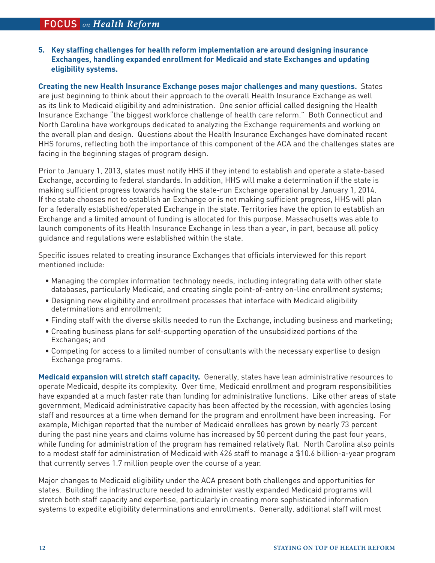**5. Key staffing challenges for health reform implementation are around designing insurance Exchanges, handling expanded enrollment for Medicaid and state Exchanges and updating eligibility systems.**

**Creating the new Health Insurance Exchange poses major challenges and many questions.** States are just beginning to think about their approach to the overall Health Insurance Exchange as well as its link to Medicaid eligibility and administration. One senior official called designing the Health Insurance Exchange "the biggest workforce challenge of health care reform." Both Connecticut and North Carolina have workgroups dedicated to analyzing the Exchange requirements and working on the overall plan and design. Questions about the Health Insurance Exchanges have dominated recent HHS forums, reflecting both the importance of this component of the ACA and the challenges states are facing in the beginning stages of program design.

Prior to January 1, 2013, states must notify HHS if they intend to establish and operate a state-based Exchange, according to federal standards. In addition, HHS will make a determination if the state is making sufficient progress towards having the state-run Exchange operational by January 1, 2014. If the state chooses not to establish an Exchange or is not making sufficient progress, HHS will plan for a federally established/operated Exchange in the state. Territories have the option to establish an Exchange and a limited amount of funding is allocated for this purpose. Massachusetts was able to launch components of its Health Insurance Exchange in less than a year, in part, because all policy guidance and regulations were established within the state.

Specific issues related to creating insurance Exchanges that officials interviewed for this report mentioned include:

- Managing the complex information technology needs, including integrating data with other state databases, particularly Medicaid, and creating single point-of-entry on-line enrollment systems;
- Designing new eligibility and enrollment processes that interface with Medicaid eligibility determinations and enrollment;
- Finding staff with the diverse skills needed to run the Exchange, including business and marketing;
- Creating business plans for self-supporting operation of the unsubsidized portions of the Exchanges; and
- Competing for access to a limited number of consultants with the necessary expertise to design Exchange programs.

**Medicaid expansion will stretch staff capacity.** Generally, states have lean administrative resources to operate Medicaid, despite its complexity. Over time, Medicaid enrollment and program responsibilities have expanded at a much faster rate than funding for administrative functions. Like other areas of state government, Medicaid administrative capacity has been affected by the recession, with agencies losing staff and resources at a time when demand for the program and enrollment have been increasing. For example, Michigan reported that the number of Medicaid enrollees has grown by nearly 73 percent during the past nine years and claims volume has increased by 50 percent during the past four years, while funding for administration of the program has remained relatively flat. North Carolina also points to a modest staff for administration of Medicaid with 426 staff to manage a \$10.6 billion-a-year program that currently serves 1.7 million people over the course of a year.

Major changes to Medicaid eligibility under the ACA present both challenges and opportunities for states. Building the infrastructure needed to administer vastly expanded Medicaid programs will stretch both staff capacity and expertise, particularly in creating more sophisticated information systems to expedite eligibility determinations and enrollments. Generally, additional staff will most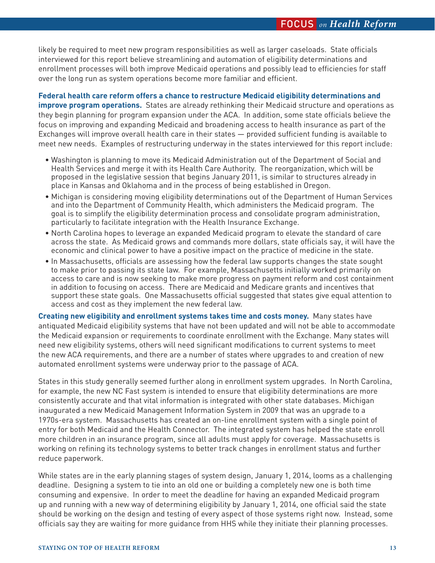likely be required to meet new program responsibilities as well as larger caseloads. State officials interviewed for this report believe streamlining and automation of eligibility determinations and enrollment processes will both improve Medicaid operations and possibly lead to efficiencies for staff over the long run as system operations become more familiar and efficient.

**Federal health care reform offers a chance to restructure Medicaid eligibility determinations and improve program operations.** States are already rethinking their Medicaid structure and operations as they begin planning for program expansion under the ACA. In addition, some state officials believe the focus on improving and expanding Medicaid and broadening access to health insurance as part of the Exchanges will improve overall health care in their states — provided sufficient funding is available to meet new needs. Examples of restructuring underway in the states interviewed for this report include:

- Washington is planning to move its Medicaid Administration out of the Department of Social and Health Services and merge it with its Health Care Authority. The reorganization, which will be proposed in the legislative session that begins January 2011, is similar to structures already in place in Kansas and Oklahoma and in the process of being established in Oregon.
- Michigan is considering moving eligibility determinations out of the Department of Human Services and into the Department of Community Health, which administers the Medicaid program. The goal is to simplify the eligibility determination process and consolidate program administration, particularly to facilitate integration with the Health Insurance Exchange.
- North Carolina hopes to leverage an expanded Medicaid program to elevate the standard of care across the state. As Medicaid grows and commands more dollars, state officials say, it will have the economic and clinical power to have a positive impact on the practice of medicine in the state.
- In Massachusetts, officials are assessing how the federal law supports changes the state sought to make prior to passing its state law. For example, Massachusetts initially worked primarily on access to care and is now seeking to make more progress on payment reform and cost containment in addition to focusing on access. There are Medicaid and Medicare grants and incentives that support these state goals. One Massachusetts official suggested that states give equal attention to access and cost as they implement the new federal law.

**Creating new eligibility and enrollment systems takes time and costs money.** Many states have antiquated Medicaid eligibility systems that have not been updated and will not be able to accommodate the Medicaid expansion or requirements to coordinate enrollment with the Exchange. Many states will need new eligibility systems, others will need significant modifications to current systems to meet the new ACA requirements, and there are a number of states where upgrades to and creation of new automated enrollment systems were underway prior to the passage of ACA.

States in this study generally seemed further along in enrollment system upgrades. In North Carolina, for example, the new NC Fast system is intended to ensure that eligibility determinations are more consistently accurate and that vital information is integrated with other state databases. Michigan inaugurated a new Medicaid Management Information System in 2009 that was an upgrade to a 1970s-era system. Massachusetts has created an on-line enrollment system with a single point of entry for both Medicaid and the Health Connector. The integrated system has helped the state enroll more children in an insurance program, since all adults must apply for coverage. Massachusetts is working on refining its technology systems to better track changes in enrollment status and further reduce paperwork.

While states are in the early planning stages of system design, January 1, 2014, looms as a challenging deadline. Designing a system to tie into an old one or building a completely new one is both time consuming and expensive. In order to meet the deadline for having an expanded Medicaid program up and running with a new way of determining eligibility by January 1, 2014, one official said the state should be working on the design and testing of every aspect of those systems right now. Instead, some officials say they are waiting for more guidance from HHS while they initiate their planning processes.